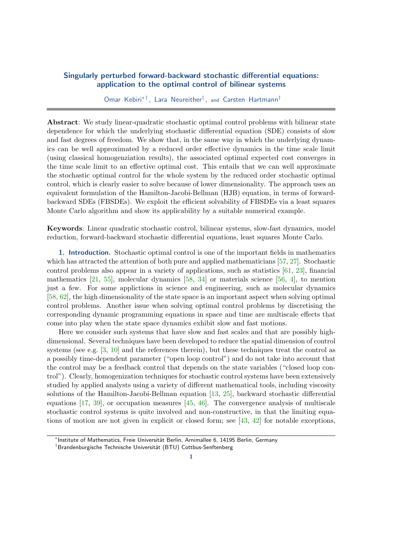## Singularly perturbed forward-backward stochastic differential equations: application to the optimal control of bilinear systems

Omar Kebiri<sup>\*†</sup>, Lara Neureither<sup>†</sup>, and Carsten Hartmann<sup>†</sup>

Abstract: We study linear-quadratic stochastic optimal control problems with bilinear state dependence for which the underlying stochastic differential equation (SDE) consists of slow and fast degrees of freedom. We show that, in the same way in which the underlying dynamics can be well approximated by a reduced order effective dynamics in the time scale limit (using classical homogenziation results), the associated optimal expected cost converges in the time scale limit to an effective optimal cost. This entails that we can well approximate the stochastic optimal control for the whole system by the reduced order stochastic optimal control, which is clearly easier to solve because of lower dimensionality. The approach uses an equivalent formulation of the Hamilton-Jacobi-Bellman (HJB) equation, in terms of forwardbackward SDEs (FBSDEs). We exploit the efficient solvability of FBSDEs via a least squares Monte Carlo algorithm and show its applicability by a suitable numerical example.

Keywords: Linear quadratic stochastic control, bilinear systems, slow-fast dynamics, model reduction, forward-backward stochastic differential equations, least squares Monte Carlo.

1. Introduction. Stochastic optimal control is one of the important fields in mathematics which has attracted the attention of both pure and applied mathematicians [\[57,](#page-18-0) [27\]](#page-17-0). Stochastic control problems also appear in a variety of applications, such as statistics [\[61,](#page-18-1) [23\]](#page-17-1), financial mathematics  $[21, 55]$  $[21, 55]$  $[21, 55]$ , molecular dynamics  $[58, 34]$  $[58, 34]$  $[58, 34]$  or materials science  $[56, 4]$  $[56, 4]$  $[56, 4]$ , to mention just a few. For some applictions in science and engineering, such as molecular dynamics [\[58,](#page-18-3) [62\]](#page-18-5), the high dimensionality of the state space is an important aspect when solving optimal control problems. Another issue when solving optimal control problems by discretising the corresponding dynamic programming equations in space and time are multiscale effects that come into play when the state space dynamics exhibit slow and fast motions.

Here we consider such systems that have slow and fast scales and that are possibly highdimensional. Several techniques have been developed to reduce the spatial dimension of control systems (see e.g. [\[3,](#page-16-1) [10\]](#page-16-2) and the references therein), but these techniques treat the control as a possibly time-dependent parameter ("open loop control") and do not take into account that the control may be a feedback control that depends on the state variables ("closed loop control"). Clearly, homogenization techniques for stochastic control systems have been extensively studied by applied analysts using a variety of different mathematical tools, including viscosity solutions of the Hamilton-Jacobi-Bellman equation [\[13,](#page-17-4) [25\]](#page-17-5), backward stochastic differential equations [\[17,](#page-17-6) [39\]](#page-18-6), or occupation measures [\[45,](#page-18-7) [46\]](#page-18-8). The convergence analysis of multiscale stochastic control systems is quite involved and non-constructive, in that the limiting equations of motion are not given in explicit or closed form; see [\[43,](#page-18-9) [42\]](#page-18-10) for notable exceptions,

<sup>\*</sup>Institute of Mathematics, Freie Universität Berlin, Arnimallee 6, 14195 Berlin, Germany

<sup>&</sup>lt;sup>†</sup>Brandenburgische Technische Universität (BTU) Cottbus-Senftenberg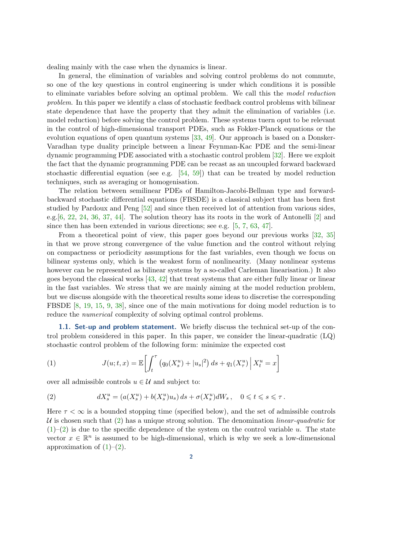dealing mainly with the case when the dynamics is linear.

In general, the elimination of variables and solving control problems do not commute, so one of the key questions in control engineering is under which conditions it is possible to eliminate variables before solving an optimal problem. We call this the model reduction problem. In this paper we identify a class of stochastic feedback control problems with bilinear state dependence that have the property that they admit the elimination of variables (i.e. model reduction) before solving the control problem. These systems tuern oput to be relevant in the control of high-dimensional transport PDEs, such as Fokker-Planck equations or the evolution equations of open quantum systems [\[33,](#page-17-7) [49\]](#page-18-11). Our approach is based on a Donsker-Varadhan type duality principle between a linear Feynman-Kac PDE and the semi-linear dynamic programming PDE associated with a stochastic control problem [\[32\]](#page-17-8). Here we exploit the fact that the dynamic programming PDE can be recast as an uncoupled forward backward stochastic differential equation (see e.g. [\[54,](#page-18-12) [59\]](#page-18-13)) that can be treated by model reduction techniques, such as averaging or homogenisation.

The relation between semilinear PDEs of Hamilton-Jacobi-Bellman type and forwardbackward stochastic differential equations (FBSDE) is a classical subject that has been first studied by Pardoux and Peng [\[52\]](#page-18-14) and since then received lot of attention from various sides, e.g.[\[6,](#page-16-3) [22,](#page-17-9) [24,](#page-17-10) [36,](#page-17-11) [37,](#page-17-12) [44\]](#page-18-15). The solution theory has its roots in the work of Antonelli [\[2\]](#page-16-4) and since then has been extended in various directions; see e.g. [\[5,](#page-16-5) [7,](#page-16-6) [63,](#page-18-16) [47\]](#page-18-17).

From a theoretical point of view, this paper goes beyond our previous works [\[32,](#page-17-8) [35\]](#page-17-13) in that we prove strong convergence of the value function and the control without relying on compactness or periodicity assumptions for the fast variables, even though we focus on bilinear systems only, which is the weakest form of nonlinearity. (Many nonlinear systems however can be represented as bilinear systems by a so-called Carleman linearisation.) It also goes beyond the classical works  $[43, 42]$  $[43, 42]$  $[43, 42]$  that treat systems that are either fully linear or linear in the fast variables. We stress that we are mainly aiming at the model reduction problem, but we discuss alongside with the theoretical results some ideas to discretise the corresponding FBSDE [\[8,](#page-16-7) [19,](#page-17-14) [15,](#page-17-15) [9,](#page-16-8) [38\]](#page-17-16), since one of the main motivations for doing model reduction is to reduce the *numerical* complexity of solving optimal control problems.

**1.1. Set-up and problem statement.** We briefly discuss the technical set-up of the control problem considered in this paper. In this paper, we consider the linear-quadratic (LQ) stochastic control problem of the following form: minimize the expected cost

<span id="page-1-1"></span>(1) 
$$
J(u;t,x) = \mathbb{E}\left[\int_t^{\tau} (q_0(X_s^u) + |u_s|^2) ds + q_1(X_\tau^u) | X_t^u = x\right]
$$

over all admissible controls  $u \in \mathcal{U}$  and subject to:

<span id="page-1-0"></span>(2) 
$$
dX_s^u = (a(X_s^u) + b(X_s^u)u_s) ds + \sigma(X_s^u) dW_s, \quad 0 \leq t \leq s \leq \tau.
$$

Here  $\tau < \infty$  is a bounded stopping time (specified below), and the set of admissible controls U is chosen such that  $(2)$  has a unique strong solution. The denomination *linear-quadratic* for  $(1)$ – $(2)$  is due to the specific dependence of the system on the control variable u. The state vector  $x \in \mathbb{R}^n$  is assumed to be high-dimensional, which is why we seek a low-dimensional approximation of  $(1)$ – $(2)$ .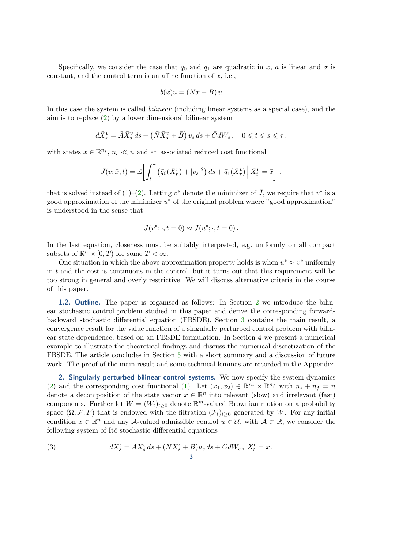Specifically, we consider the case that  $q_0$  and  $q_1$  are quadratic in x, a is linear and  $\sigma$  is constant, and the control term is an affine function of  $x$ , i.e.,

$$
b(x)u = (Nx + B)u
$$

In this case the system is called *bilinear* (including linear systems as a special case), and the aim is to replace [\(2\)](#page-1-0) by a lower dimensional bilinear system

$$
d\bar{X}^v_s = \bar{A}\bar{X}^v_s ds + \left(\bar{N}\bar{X}^v_s + \bar{B}\right)v_s ds + \bar{C}dW_s, \quad 0 \leqslant t \leqslant s \leqslant \tau,
$$

with states  $\bar{x} \in \mathbb{R}^{n_s}$ ,  $n_s \ll n$  and an associated reduced cost functional

$$
\bar{J}(v;\bar{x},t) = \mathbb{E}\bigg[\int_t^\tau \left(\bar{q}_0(\bar{X}_s^v) + |v_s|^2\right)ds + \bar{q}_1(\bar{X}_\tau^v) \left|\bar{X}_t^v = \bar{x}\right],
$$

that is solved instead of  $(1)$ – $(2)$ . Letting v<sup>\*</sup> denote the minimizer of  $\bar{J}$ , we require that v<sup>\*</sup> is a good approximation of the minimizer  $u^*$  of the original problem where "good approximation" is understood in the sense that

$$
J(v^*; \cdot, t = 0) \approx J(u^*; \cdot, t = 0).
$$

In the last equation, closeness must be suitably interpreted, e.g. uniformly on all compact subsets of  $\mathbb{R}^n \times [0,T)$  for some  $T < \infty$ .

One situation in which the above approximation property holds is when  $u^* \approx v^*$  uniformly in  $t$  and the cost is continuous in the control, but it turns out that this requirement will be too strong in general and overly restrictive. We will discuss alternative criteria in the course of this paper.

1.[2](#page-2-0). Outline. The paper is organised as follows: In Section 2 we introduce the bilinear stochastic control problem studied in this paper and derive the corresponding forwardbackward stochastic differential equation (FBSDE). Section [3](#page-5-0) contains the main result, a convergence result for the value function of a singularly perturbed control problem with bilinear state dependence, based on an FBSDE formulation. In Section 4 we present a numerical example to illustrate the theoretical findings and discuss the numerical discretization of the FBSDE. The article concludes in Section [5](#page-13-0) with a short summary and a discussion of future work. The proof of the main result and some technical lemmas are recorded in the Appendix.

<span id="page-2-0"></span>2. Singularly perturbed bilinear control systems. We now specify the system dynamics [\(2\)](#page-1-0) and the corresponding cost functional [\(1\)](#page-1-1). Let  $(x_1, x_2) \in \mathbb{R}^{n_s} \times \mathbb{R}^{n_f}$  with  $n_s + n_f = n$ denote a decomposition of the state vector  $x \in \mathbb{R}^n$  into relevant (slow) and irrelevant (fast) components. Further let  $W = (W_t)_{t \geq 0}$  denote  $\mathbb{R}^m$ -valued Brownian motion on a probability space  $(\Omega, \mathcal{F}, P)$  that is endowed with the filtration  $(\mathcal{F}_t)_{t\geq 0}$  generated by W. For any initial condition  $x \in \mathbb{R}^n$  and any A-valued admissible control  $u \in \mathcal{U}$ , with  $\mathcal{A} \subset \mathbb{R}$ , we consider the following system of Itô stochastic differential equations

<span id="page-2-1"></span>(3) 
$$
dX_s^{\epsilon} = AX_s^{\epsilon} ds + (NX_s^{\epsilon} + B)u_s ds + CdW_s, \ X_t^{\epsilon} = x,
$$

$$
3
$$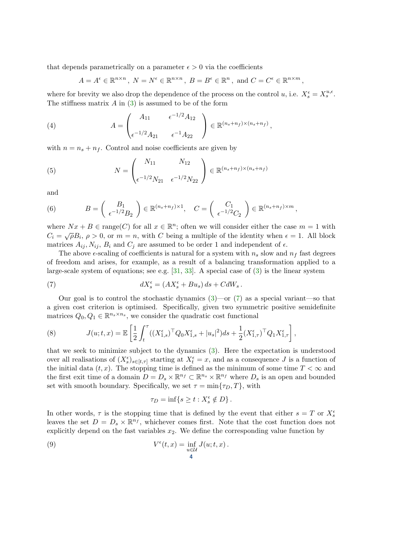that depends parametrically on a parameter  $\epsilon > 0$  via the coefficients

$$
A = A^{\epsilon} \in \mathbb{R}^{n \times n}, N = N^{\epsilon} \in \mathbb{R}^{n \times n}, B = B^{\epsilon} \in \mathbb{R}^{n}, \text{ and } C = C^{\epsilon} \in \mathbb{R}^{n \times m},
$$

where for brevity we also drop the dependence of the process on the control u, i.e.  $X_s^{\epsilon} = X_s^{u,\epsilon}$ . The stiffness matrix  $A$  in  $(3)$  is assumed to be of the form

(4) 
$$
A = \begin{pmatrix} A_{11} & \epsilon^{-1/2} A_{12} \\ \epsilon^{-1/2} A_{21} & \epsilon^{-1} A_{22} \end{pmatrix} \in \mathbb{R}^{(n_s + n_f) \times (n_s + n_f)},
$$

with  $n = n_s + n_f$ . Control and noise coefficients are given by

(5) 
$$
N = \begin{pmatrix} N_{11} & N_{12} \\ \epsilon^{-1/2} N_{21} & \epsilon^{-1/2} N_{22} \end{pmatrix} \in \mathbb{R}^{(n_s + n_f) \times (n_s + n_f)}
$$

and

(6) 
$$
B = \begin{pmatrix} B_1 \\ \epsilon^{-1/2} B_2 \end{pmatrix} \in \mathbb{R}^{(n_s + n_f) \times 1}, \quad C = \begin{pmatrix} C_1 \\ \epsilon^{-1/2} C_2 \end{pmatrix} \in \mathbb{R}^{(n_s + n_f) \times m},
$$

where  $Nx + B \in \text{range}(C)$  for all  $x \in \mathbb{R}^n$ ; often we will consider either the case  $m = 1$  with where  $\overline{Px} + \overline{D} \subset \text{range}(C)$  for an  $x \in \mathbb{R}^n$ , sites we will consider either the case  $m = 1$  with  $C_i = \sqrt{\rho}B_i$ ,  $\rho > 0$ , or  $m = n$ , with  $C$  being a multiple of the identity when  $\epsilon = 1$ . All block matrices  $A_{ij}$ ,  $N_{ij}$ ,  $B_i$  and  $C_j$  are assumed to be order 1 and independent of  $\epsilon$ .

The above  $\epsilon$ -scaling of coefficients is natural for a system with  $n_s$  slow and  $n_f$  fast degrees of freedom and arises, for example, as a result of a balancing transformation applied to a large-scale system of equations; see e.g.  $[31, 33]$  $[31, 33]$  $[31, 33]$ . A special case of  $(3)$  is the linear system

<span id="page-3-0"></span>(7) 
$$
dX_s^{\epsilon} = (AX_s^{\epsilon} + Bu_s) ds + CdW_s.
$$

Our goal is to control the stochastic dynamics  $(3)$ —or  $(7)$  as a special variant—so that a given cost criterion is optimised. Specifically, given two symmetric positive semidefinite matrices  $Q_0, Q_1 \in \mathbb{R}^{n_s \times n_s}$ , we consider the quadratic cost functional

<span id="page-3-2"></span>(8) 
$$
J(u;t,x) = \mathbb{E}\left[\frac{1}{2}\int_t^{\tau} ((X_{1,s}^{\epsilon})^{\top} Q_0 X_{1,s}^{\epsilon} + |u_s|^2) ds + \frac{1}{2} (X_{1,\tau}^{\epsilon})^{\top} Q_1 X_{1,\tau}^{\epsilon}\right],
$$

that we seek to minimize subject to the dynamics [\(3\)](#page-2-1). Here the expectation is understood over all realisations of  $(X_s^{\epsilon})_{s \in [t,\tau]}$  starting at  $X_t^{\epsilon} = x$ , and as a consequence J is a function of the initial data  $(t, x)$ . The stopping time is defined as the minimum of some time  $T < \infty$  and the first exit time of a domain  $D = D_s \times \mathbb{R}^{n_f} \subset \mathbb{R}^{n_s} \times \mathbb{R}^{n_f}$  where  $D_s$  is an open and bounded set with smooth boundary. Specifically, we set  $\tau = \min\{\tau_D, T\}$ , with

<span id="page-3-1"></span>
$$
\tau_D = \inf\{s \ge t : X_s^{\epsilon} \notin D\}.
$$

In other words,  $\tau$  is the stopping time that is defined by the event that either  $s = T$  or  $X_s^{\epsilon}$ leaves the set  $D = D_s \times \mathbb{R}^{n_f}$ , whichever comes first. Note that the cost function does not explicitly depend on the fast variables  $x_2$ . We define the corresponding value function by

(9) 
$$
V^{\epsilon}(t,x) = \inf_{\substack{u \in \mathcal{U} \\ 4}} J(u;t,x) .
$$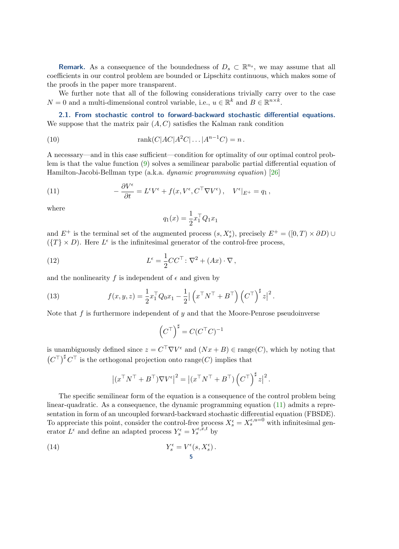**Remark.** As a consequence of the boundedness of  $D_s \subset \mathbb{R}^{n_s}$ , we may assume that all coefficients in our control problem are bounded or Lipschitz continuous, which makes some of the proofs in the paper more transparent.

We further note that all of the following considerations trivially carry over to the case  $N = 0$  and a multi-dimensional control variable, i.e.,  $u \in \mathbb{R}^k$  and  $B \in \mathbb{R}^{n \times k}$ .

2.1. From stochastic control to forward-backward stochastic differential equations. We suppose that the matrix pair  $(A, C)$  satisfies the Kalman rank condition

(10) 
$$
\text{rank}(C|AC|A^2C|\dots|A^{n-1}C) = n.
$$

A necessary—and in this case sufficient—condition for optimality of our optimal control problem is that the value function [\(9\)](#page-3-1) solves a semilinear parabolic partial differential equation of Hamilton-Jacobi-Bellman type (a.k.a. dynamic programming equation) [\[26\]](#page-17-18)

(11) 
$$
-\frac{\partial V^{\epsilon}}{\partial t} = L^{\epsilon}V^{\epsilon} + f(x, V^{\epsilon}, C^{\top}\nabla V^{\epsilon}), \quad V^{\epsilon}|_{E^{+}} = q_{1},
$$

where

<span id="page-4-3"></span><span id="page-4-2"></span><span id="page-4-0"></span>
$$
q_1(x)=\frac{1}{2}x_1^\top Q_1x_1
$$

and  $E^+$  is the terminal set of the augmented process  $(s, X_s^{\epsilon})$ , precisely  $E^+ = ([0, T) \times \partial D) \cup$  $({T} \times D)$ . Here  $L^{\epsilon}$  is the infinitesimal generator of the control-free process,

(12) 
$$
L^{\epsilon} = \frac{1}{2}CC^{\top} : \nabla^2 + (Ax) \cdot \nabla,
$$

and the nonlinearity  $f$  is independent of  $\epsilon$  and given by

(13) 
$$
f(x,y,z) = \frac{1}{2}x_1^\top Q_0 x_1 - \frac{1}{2} \left| \left( x^\top N^\top + B^\top \right) \left( C^\top \right)^{\sharp} z \right|^2.
$$

Note that  $f$  is furthermore independent of  $y$  and that the Moore-Penrose pseudoinverse

$$
\left(C^{\top}\right)^{\sharp} = C(C^{\top}C)^{-1}
$$

is unambiguously defined since  $z = C^{\top} \nabla V^{\epsilon}$  and  $(Nx + B) \in \text{range}(C)$ , which by noting that  $(C^{\top})^{\sharp} C^{\top}$  is the orthogonal projection onto range $(C)$  implies that

<span id="page-4-1"></span>
$$
\left| (x^\top N^\top + B^\top) \nabla V^{\epsilon} \right|^2 = \left| (x^\top N^\top + B^\top) \left( C^\top \right)^{\sharp} z \right|^2.
$$

The specific semilinear form of the equation is a consequence of the control problem being linear-quadratic. As a consequence, the dynamic programming equation [\(11\)](#page-4-0) admits a representation in form of an uncoupled forward-backward stochastic differential equation (FBSDE). To appreciate this point, consider the control-free process  $X_s^{\epsilon} = X_s^{\epsilon, u=0}$  with infinitesimal generator  $L^{\epsilon}$  and define an adapted process  $Y_s^{\epsilon} = Y_s^{\epsilon, x, t}$  by

(14) 
$$
Y_s^{\epsilon} = V^{\epsilon}(s, X_s^{\epsilon}).
$$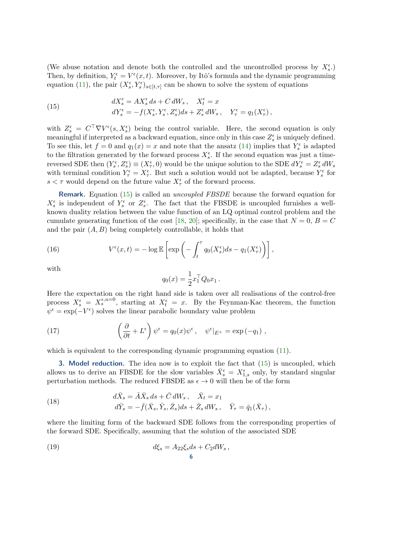(We abuse notation and denote both the controlled and the uncontrolled process by  $X_s^{\epsilon}$ .) Then, by definition,  $Y_t^{\epsilon} = V^{\epsilon}(x, t)$ . Moreover, by Itô's formula and the dynamic programming equation [\(11\)](#page-4-0), the pair  $(X_s^{\epsilon}, Y_s^{\epsilon})_{s \in [t,\tau]}$  can be shown to solve the system of equations

<span id="page-5-1"></span>(15) 
$$
dX_s^{\epsilon} = AX_s^{\epsilon} ds + C dW_s, \quad X_t^{\epsilon} = x \ndY_s^{\epsilon} = -f(X_s^{\epsilon}, Y_s^{\epsilon}, Z_s^{\epsilon}) ds + Z_s^{\epsilon} dW_s, \quad Y_{\tau}^{\epsilon} = q_1(X_{\tau}^{\epsilon}),
$$

with  $Z_s^{\epsilon} = C^{\top} \nabla V^{\epsilon}(s, X_s^{\epsilon})$  being the control variable. Here, the second equation is only meaningful if interpreted as a backward equation, since only in this case  $Z_s^{\epsilon}$  is uniquely defined. To see this, let  $f = 0$  and  $q_1(x) = x$  and note that the ansatz [\(14\)](#page-4-1) implies that  $Y_s^{\epsilon}$  is adapted to the filtration generated by the forward process  $X_{s}^{\epsilon}$ . If the second equation was just a timereversed SDE then  $(Y_s^{\epsilon}, Z_s^{\epsilon}) \equiv (X_{\tau}^{\epsilon}, 0)$  would be the unique solution to the SDE  $dY_s^{\epsilon} = Z_s^{\epsilon} dW_s$ with terminal condition  $Y_{\tau}^{\epsilon} = X_{\tau}^{\epsilon}$ . But such a solution would not be adapted, because  $Y_{s}^{\epsilon}$  for  $s < \tau$  would depend on the future value  $X_{\tau}^{\epsilon}$  of the forward process.

Remark. Equation [\(15\)](#page-5-1) is called an uncoupled FBSDE because the forward equation for  $X_s^{\epsilon}$  is independent of  $Y_s^{\epsilon}$  or  $Z_s^{\epsilon}$ . The fact that the FBSDE is uncoupled furnishes a wellknown duality relation between the value function of an LQ optimal control problem and the cumulate generating function of the cost [\[18,](#page-17-19) [20\]](#page-17-20); specifically, in the case that  $N = 0$ ,  $B = C$ and the pair  $(A, B)$  being completely controllable, it holds that

(16) 
$$
V^{\epsilon}(x,t) = -\log \mathbb{E}\left[\exp\left(-\int_{t}^{\tau} q_{0}(X_{s}^{\epsilon})ds - q_{1}(X_{\tau}^{\epsilon})\right)\right],
$$

with

$$
q_0(x) = \frac{1}{2} x_1^\top Q_0 x_1 \,.
$$

Here the expectation on the right hand side is taken over all realisations of the control-free process  $X_s^{\epsilon} = X_s^{\epsilon, u=0}$ , starting at  $X_t^{\epsilon} = x$ . By the Feynman-Kac theorem, the function  $\psi^{\epsilon} = \exp(-V^{\epsilon})$  solves the linear parabolic boundary value problem

(17) 
$$
\left(\frac{\partial}{\partial t} + L^{\epsilon}\right)\psi^{\epsilon} = q_0(x)\psi^{\epsilon}, \quad \psi^{\epsilon}|_{E^{+}} = \exp(-q_1) ,
$$

which is equivalent to the corresponding dynamic programming equation [\(11\)](#page-4-0).

<span id="page-5-0"></span>**3. Model reduction.** The idea now is to exploit the fact that  $(15)$  is uncoupled, which allows us to derive an FBSDE for the slow variables  $\bar{X}_{s}^{\epsilon} = X_{1,s}^{\epsilon}$  only, by standard singular perturbation methods. The reduced FBSDE as  $\epsilon \to 0$  will then be of the form

<span id="page-5-2"></span>(18) 
$$
d\bar{X}_s = \bar{A}\bar{X}_s ds + \bar{C} dW_s, \quad \bar{X}_t = x_1
$$

$$
d\bar{Y}_s = -\bar{f}(\bar{X}_s, \bar{Y}_s, \bar{Z}_s) ds + \bar{Z}_s dW_s, \quad \bar{Y}_\tau = \bar{q}_1(\bar{X}_\tau),
$$

where the limiting form of the backward SDE follows from the corresponding properties of the forward SDE. Specifically, assuming that the solution of the associated SDE

<span id="page-5-3"></span>(19) 
$$
d\xi_s = A_{22}\xi_s ds + C_2 dW_s,
$$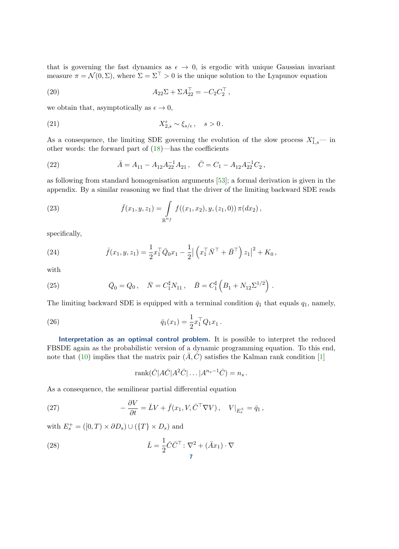that is governing the fast dynamics as  $\epsilon \to 0$ , is ergodic with unique Gaussian invariant measure  $\pi = \mathcal{N}(0, \Sigma)$ , where  $\Sigma = \Sigma^{\top} > 0$  is the unique solution to the Lyapunov equation

<span id="page-6-1"></span>(20) 
$$
A_{22}\Sigma + \Sigma A_{22}^{\top} = -C_2 C_2^{\top},
$$

we obtain that, asymptotically as  $\epsilon \to 0$ ,

(21) 
$$
X_{2,s}^{\epsilon} \sim \xi_{s/\epsilon}, \quad s > 0.
$$

As a consequence, the limiting SDE governing the evolution of the slow process  $X_{1,s}^{\epsilon}$ — in other words: the forward part of [\(18\)](#page-5-2)—has the coefficients

(22) 
$$
\bar{A} = A_{11} - A_{12} A_{22}^{-1} A_{21} , \quad \bar{C} = C_1 - A_{12} A_{22}^{-1} C_2 ,
$$

as following from standard homogenisation arguments [\[53\]](#page-18-18); a formal derivation is given in the appendix. By a similar reasoning we find that the driver of the limiting backward SDE reads

(23) 
$$
\bar{f}(x_1, y, z_1) = \int\limits_{\mathbb{R}^{n_f}} f((x_1, x_2), y, (z_1, 0)) \pi(dx_2),
$$

specifically,

(24) 
$$
\bar{f}(x_1, y, z_1) = \frac{1}{2} x_1^\top \bar{Q}_0 x_1 - \frac{1}{2} | \left( x_1^\top \bar{N}^\top + \bar{B}^\top \right) z_1 |^2 + K_0,
$$

with

(25) 
$$
\bar{Q}_0 = Q_0, \quad \bar{N} = C_1^{\sharp} N_{11}, \quad \bar{B} = C_1^{\sharp} \left( B_1 + N_{12} \Sigma^{1/2} \right).
$$

The limiting backward SDE is equipped with a terminal condition  $\bar{q}_1$  that equals  $q_1$ , namely,

(26) 
$$
\bar{q}_1(x_1) = \frac{1}{2} x_1^\top Q_1 x_1.
$$

Interpretation as an optimal control problem. It is possible to interpret the reduced FBSDE again as the probabilistic version of a dynamic programming equation. To this end, note that [\(10\)](#page-4-2) implies that the matrix pair  $(\bar{A}, \bar{C})$  satisfies the Kalman rank condition [\[1\]](#page-16-9)

<span id="page-6-2"></span><span id="page-6-0"></span>
$$
rank(\bar{C}|A\bar{C}|A^2\bar{C}|...|A^{n_s-1}\bar{C}) = n_s.
$$

As a consequence, the semilinear partial differential equation

(27) 
$$
-\frac{\partial V}{\partial t} = \bar{L}V + \bar{f}(x_1, V, \bar{C}^\top \nabla V), \quad V|_{E_s^+} = \bar{q}_1,
$$

with  $E_s^+ = ([0, T) \times \partial D_s) \cup (\{T\} \times D_s)$  and

(28) 
$$
\bar{L} = \frac{1}{2}\bar{C}\bar{C}^{\top} : \nabla^2 + (\bar{A}x_1) \cdot \nabla
$$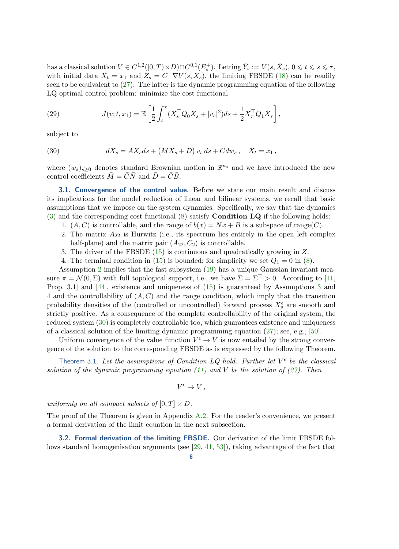has a classical solution  $V \in C^{1,2}([0,T) \times D) \cap C^{0,1}(E_s^+)$ . Letting  $\overline{Y}_s := V(s, \overline{X}_s)$ ,  $0 \leq t \leq s \leq \tau$ , with initial data  $\bar{X}_t = x_1$  and  $\bar{Z}_s = \bar{C}^\top \nabla V(s, \bar{X}_s)$ , the limiting FBSDE [\(18\)](#page-5-2) can be readily seen to be equivalent to  $(27)$ . The latter is the dynamic programming equation of the following LQ optimal control problem: minimize the cost functional

<span id="page-7-5"></span>(29) 
$$
\bar{J}(v;t,x_1) = \mathbb{E}\left[\frac{1}{2}\int_t^{\tau} (\bar{X}_s^{\top}\bar{Q}_0\bar{X}_s + |v_s|^2)ds + \frac{1}{2}\bar{X}_\tau^{\top}\bar{Q}_1\bar{X}_\tau\right],
$$

subject to

<span id="page-7-3"></span>(30) 
$$
d\bar{X}_s = \bar{A}\bar{X}_s ds + (\bar{M}\bar{X}_s + \bar{D}) v_s ds + \bar{C} dw_s, \quad \bar{X}_t = x_1,
$$

where  $(w_s)_{s\geq 0}$  denotes standard Brownian motion in  $\mathbb{R}^{n_s}$  and we have introduced the new control coefficients  $\overline{M} = \overline{C}\overline{N}$  and  $\overline{D} = \overline{C}\overline{B}$ .

**3.1. Convergence of the control value.** Before we state our main result and discuss its implications for the model reduction of linear and bilinear systems, we recall that basic assumptions that we impose on the system dynamics. Specifically, we say that the dynamics  $(3)$  and the corresponding cost functional  $(8)$  satisfy **Condition LQ** if the following holds:

- <span id="page-7-6"></span>1.  $(A, C)$  is controllable, and the range of  $b(x) = Nx + B$  is a subspace of range(C).
- <span id="page-7-0"></span>2. The matrix  $A_{22}$  is Hurwitz (i.e., its spectrum lies entirely in the open left complex half-plane) and the matrix pair  $(A_{22}, C_2)$  is controllable.
- <span id="page-7-1"></span>3. The driver of the FBSDE [\(15\)](#page-5-1) is continuous and quadratically growing in Z.
- 4. The terminal condition in [\(15\)](#page-5-1) is bounded; for simplicity we set  $Q_1 = 0$  in [\(8\)](#page-3-2).

<span id="page-7-2"></span>Assumption [2](#page-7-0) implies that the fast subsystem [\(19\)](#page-5-3) has a unique Gaussian invariant measure  $\pi = \mathcal{N}(0, \Sigma)$  with full topological support, i.e., we have  $\Sigma = \Sigma^{\top} > 0$ . According to [\[11,](#page-16-10) Prop. 3.1] and [\[44\]](#page-18-15), existence and uniqueness of [\(15\)](#page-5-1) is guaranteed by Assumptions [3](#page-7-1) and [4](#page-7-2) and the controllability of  $(A, C)$  and the range condition, which imply that the transition probability densities of the (controlled or uncontrolled) forward process  $X_s^{\epsilon}$  are smooth and strictly positive. As a consequence of the complete controllability of the original system, the reduced system [\(30\)](#page-7-3) is completely controllable too, which guarantees existence and uniqueness of a classical solution of the limiting dynamic programming equation [\(27\)](#page-6-0); see, e.g., [\[50\]](#page-18-19).

Uniform convergence of the value function  $V^{\epsilon} \to V$  is now entailed by the strong convergence of the solution to the corresponding FBSDE as is expressed by the following Theorem.

<span id="page-7-4"></span>Theorem 3.1. Let the assumptions of Condition LQ hold. Further let  $V^{\epsilon}$  be the classical solution of the dynamic programming equation [\(11\)](#page-4-0) and V be the solution of [\(27\)](#page-6-0). Then

 $V^{\epsilon} \to V$ ,

uniformly on all compact subsets of  $[0, T] \times D$ .

The proof of the Theorem is given in Appendix [A.2.](#page-15-0) For the reader's convenience, we present a formal derivation of the limit equation in the next subsection.

<span id="page-7-7"></span>3.2. Formal derivation of the limiting FBSDE. Our derivation of the limit FBSDE follows standard homogenisation arguments (see [\[29,](#page-17-21) [41,](#page-18-20) [53\]](#page-18-18)), taking advantage of the fact that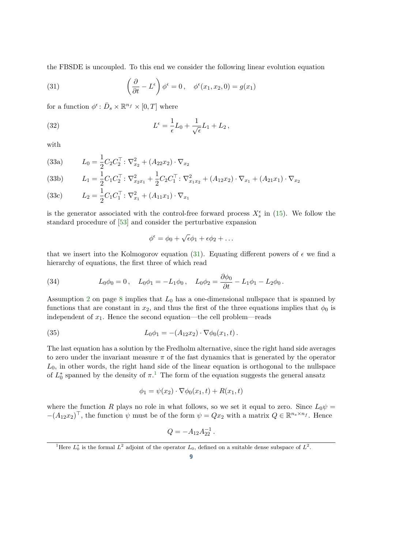the FBSDE is uncoupled. To this end we consider the following linear evolution equation

<span id="page-8-0"></span>(31) 
$$
\left(\frac{\partial}{\partial t} - L^{\epsilon}\right)\phi^{\epsilon} = 0, \quad \phi^{\epsilon}(x_1, x_2, 0) = g(x_1)
$$

for a function  $\phi^{\epsilon}$ :  $\bar{D}_s \times \mathbb{R}^{n_f} \times [0, T]$  where

(32) 
$$
L^{\epsilon} = \frac{1}{\epsilon}L_0 + \frac{1}{\sqrt{\epsilon}}L_1 + L_2,
$$

<span id="page-8-2"></span>with

(33a) 
$$
L_0 = \frac{1}{2} C_2 C_2^{\top} : \nabla_{x_2}^2 + (A_{22} x_2) \cdot \nabla_{x_2}
$$

(33b) 
$$
L_1 = \frac{1}{2} C_1 C_2^{\top} : \nabla_{x_2 x_1}^2 + \frac{1}{2} C_2 C_1^{\top} : \nabla_{x_1 x_2}^2 + (A_{12} x_2) \cdot \nabla_{x_1} + (A_{21} x_1) \cdot \nabla_{x_2}
$$

(33c) 
$$
L_2 = \frac{1}{2} C_1 C_1^{\top} : \nabla_{x_1}^2 + (A_{11}x_1) \cdot \nabla_{x_1}
$$

is the generator associated with the control-free forward process  $X_s^{\epsilon}$  in [\(15\)](#page-5-1). We follow the standard procedure of [\[53\]](#page-18-18) and consider the perturbative expansion

$$
\phi^{\epsilon} = \phi_0 + \sqrt{\epsilon}\phi_1 + \epsilon\phi_2 + \dots
$$

that we insert into the Kolmogorov equation [\(31\)](#page-8-0). Equating different powers of  $\epsilon$  we find a hierarchy of equations, the first three of which read

(34) 
$$
L_0 \phi_0 = 0
$$
,  $L_0 \phi_1 = -L_1 \phi_0$ ,  $L_0 \phi_2 = \frac{\partial \phi_0}{\partial t} - L_1 \phi_1 - L_2 \phi_0$ .

Assumption [2](#page-7-0) on page [8](#page-7-0) implies that  $L_0$  has a one-dimensional nullspace that is spanned by functions that are constant in  $x_2$ , and thus the first of the three equations implies that  $\phi_0$  is independent of  $x_1$ . Hence the second equation—the cell problem—reads

(35) 
$$
L_0 \phi_1 = -(A_{12} x_2) \cdot \nabla \phi_0(x_1, t).
$$

The last equation has a solution by the Fredholm alternative, since the right hand side averages to zero under the invariant measure  $\pi$  of the fast dynamics that is generated by the operator  $L_0$ , in other words, the right hand side of the linear equation is orthogonal to the nullspace of  $L_0^*$  spanned by the density of  $\pi$ .<sup>[1](#page-8-1)</sup> The form of the equation suggests the general ansatz

$$
\phi_1 = \psi(x_2) \cdot \nabla \phi_0(x_1, t) + R(x_1, t)
$$

where the function R plays no role in what follows, so we set it equal to zero. Since  $L_0\psi =$  $-(A_{12}x_2)^{\top}$ , the function  $\psi$  must be of the form  $\psi = Qx_2$  with a matrix  $Q \in \mathbb{R}^{n_s \times n_f}$ . Hence

$$
Q = -A_{12}A_{22}^{-1}.
$$

<span id="page-8-1"></span><sup>&</sup>lt;sup>1</sup>Here  $L_0^*$  is the formal  $L^2$  adjoint of the operator  $L_0$ , defined on a suitable dense subspace of  $L^2$ .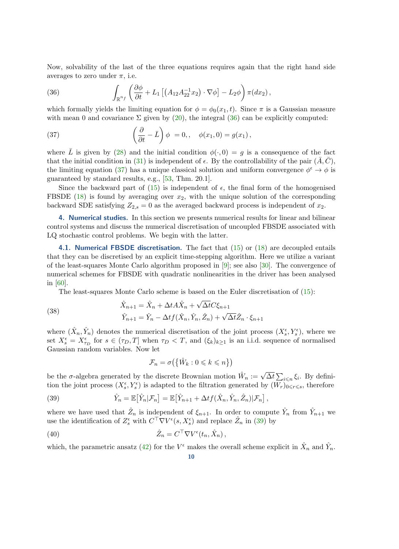Now, solvability of the last of the three equations requires again that the right hand side averages to zero under  $\pi$ , i.e.

<span id="page-9-0"></span>(36) 
$$
\int_{\mathbb{R}^{n_f}} \left( \frac{\partial \phi}{\partial t} + L_1 \left[ \left( A_{12} A_{22}^{-1} x_2 \right) \cdot \nabla \phi \right] - L_2 \phi \right) \pi(dx_2),
$$

which formally yields the limiting equation for  $\phi = \phi_0(x_1, t)$ . Since  $\pi$  is a Gaussian measure with mean 0 and covariance  $\Sigma$  given by [\(20\)](#page-6-1), the integral [\(36\)](#page-9-0) can be explicitly computed:

<span id="page-9-1"></span>(37) 
$$
\left(\frac{\partial}{\partial t} - \bar{L}\right)\phi = 0, \quad \phi(x_1, 0) = g(x_1),
$$

where  $\overline{L}$  is given by [\(28\)](#page-6-2) and the initial condition  $\phi(\cdot, 0) = g$  is a consequence of the fact that the initial condition in [\(31\)](#page-8-0) is independent of  $\epsilon$ . By the controllability of the pair  $(\bar{A}, \bar{C})$ , the limiting equation [\(37\)](#page-9-1) has a unique classical solution and uniform convergence  $\phi^{\epsilon} \to \phi$  is guaranteed by standard results, e.g., [\[53,](#page-18-18) Thm. 20.1].

Since the backward part of [\(15\)](#page-5-1) is independent of  $\epsilon$ , the final form of the homogenised FBSDE [\(18\)](#page-5-2) is found by averaging over  $x_2$ , with the unique solution of the corresponding backward SDE satisfying  $Z_{2,s} = 0$  as the averaged backward process is independent of  $x_2$ .

4. Numerical studies. In this section we presents numerical results for linear and bilinear control systems and discuss the numerical discretisation of uncoupled FBSDE associated with LQ stochastic control problems. We begin with the latter.

4.1. Numerical FBSDE discretisation. The fact that  $(15)$  or  $(18)$  are decoupled entails that they can be discretised by an explicit time-stepping algorithm. Here we utilize a variant of the least-squares Monte Carlo algorithm proposed in [\[9\]](#page-16-8); see also [\[30\]](#page-17-22). The convergence of numerical schemes for FBSDE with quadratic nonlinearities in the driver has been analysed in [\[60\]](#page-18-21).

The least-squares Monte Carlo scheme is based on the Euler discretisation of [\(15\)](#page-5-1):

(38) 
$$
\hat{X}_{n+1} = \hat{X}_n + \Delta t A \hat{X}_n + \sqrt{\Delta t} C \xi_{n+1}
$$

$$
\hat{Y}_{n+1} = \hat{Y}_n - \Delta t f(\hat{X}_n, \hat{Y}_n, \hat{Z}_n) + \sqrt{\Delta t} \hat{Z}_n \cdot \xi_{n+1}
$$

where  $(\hat{X}_n, \hat{Y}_n)$  denotes the numerical discretisation of the joint process  $(X_s^{\epsilon}, Y_s^{\epsilon})$ , where we set  $X_s^{\epsilon} = X_{\tau_D}^{\epsilon}$  for  $s \in (\tau_D, T]$  when  $\tau_D < T$ , and  $(\xi_k)_{k \geq 1}$  is an i.i.d. sequence of normalised Gaussian random variables. Now let

<span id="page-9-3"></span><span id="page-9-2"></span>
$$
\mathcal{F}_n = \sigma\big(\big\{\hat{W}_k : 0 \leqslant k \leqslant n\big\}\big)
$$

be the  $\sigma$ -algebra generated by the discrete Brownian motion  $\hat{W}_n := \sqrt{\Delta t} \sum_{i \leq n} \xi_i$ . By definition the joint process  $(X_s^{\epsilon}, Y_s^{\epsilon})$  is adapted to the filtration generated by  $(W_r)_{0 \leq r \leq s}$ , therefore

(39) 
$$
\hat{Y}_n = \mathbb{E}[\hat{Y}_n|\mathcal{F}_n] = \mathbb{E}[\hat{Y}_{n+1} + \Delta t f(\hat{X}_n, \hat{Y}_n, \hat{Z}_n)|\mathcal{F}_n],
$$

where we have used that  $\hat{Z}_n$  is independent of  $\xi_{n+1}$ . In order to compute  $\hat{Y}_n$  from  $\hat{Y}_{n+1}$  we use the identification of  $Z_s^{\epsilon}$  with  $C^{\dagger} \nabla V^{\epsilon}(s,X_s^{\epsilon})$  and replace  $\hat{Z}_n$  in [\(39\)](#page-9-2) by

(40) 
$$
\hat{Z}_n = C^{\top} \nabla V^{\epsilon}(t_n, \hat{X}_n),
$$

which, the parametric ansatz [\(42\)](#page-10-0) for the  $V^{\epsilon}$  makes the overall scheme explicit in  $\hat{X}_n$  and  $\hat{Y}_n$ .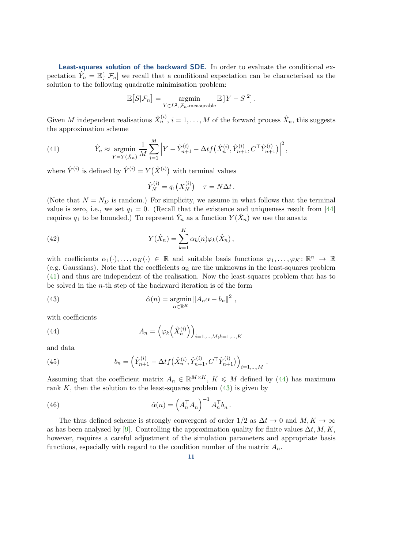Least-squares solution of the backward SDE. In order to evaluate the conditional expectation  $\hat{Y}_n = \mathbb{E}[\cdot | \mathcal{F}_n]$  we recall that a conditional expectation can be characterised as the solution to the following quadratic minimisation problem:

$$
\mathbb{E}\big[S|\mathcal{F}_n\big] = \underset{Y \in L^2, \mathcal{F}_n\text{-measurable}}{\operatorname{argmin}} \mathbb{E}[|Y - S|^2].
$$

Given M independent realisations  $\hat{X}_n^{(i)}$ ,  $i = 1, ..., M$  of the forward process  $\hat{X}_n$ , this suggests the approximation scheme

<span id="page-10-1"></span>(41) 
$$
\hat{Y}_n \approx \operatorname*{argmin}_{Y=Y(\hat{X}_n)} \frac{1}{M} \sum_{i=1}^M \left| Y - \hat{Y}_{n+1}^{(i)} - \Delta t f\left(\hat{X}_n^{(i)}, \hat{Y}_{n+1}^{(i)}, C^\top \hat{Y}_{n+1}^{(i)} \right) \right|^2,
$$

where  $\hat{Y}^{(i)}$  is defined by  $\hat{Y}^{(i)} = Y(\hat{X}^{(i)})$  with terminal values

<span id="page-10-0"></span>
$$
\hat{Y}_N^{(i)} = q_1(X_N^{(i)}) \quad \tau = N\Delta t \,.
$$

(Note that  $N = N_D$  is random.) For simplicity, we assume in what follows that the terminal value is zero, i.e., we set  $q_1 = 0$ . (Recall that the existence and uniqueness result from [\[44\]](#page-18-15) requires  $q_1$  to be bounded.) To represent  $\hat{Y}_n$  as a function  $Y(\hat{X}_n)$  we use the ansatz

(42) 
$$
Y(\hat{X}_n) = \sum_{k=1}^K \alpha_k(n) \varphi_k(\hat{X}_n),
$$

with coefficients  $\alpha_1(\cdot), \ldots, \alpha_K(\cdot) \in \mathbb{R}$  and suitable basis functions  $\varphi_1, \ldots, \varphi_K \colon \mathbb{R}^n \to \mathbb{R}$ (e.g. Gaussians). Note that the coefficients  $\alpha_k$  are the unknowns in the least-squares problem [\(41\)](#page-10-1) and thus are independent of the realisation. Now the least-squares problem that has to be solved in the *n*-th step of the backward iteration is of the form

<span id="page-10-3"></span>(43) 
$$
\hat{\alpha}(n) = \underset{\alpha \in \mathbb{R}^K}{\text{argmin}} ||A_n \alpha - b_n||^2,
$$

with coefficients

<span id="page-10-2"></span>(44) 
$$
A_n = \left(\varphi_k\left(\hat{X}_n^{(i)}\right)\right)_{i=1,\dots,M;k=1,\dots,K}
$$

and data

(45) 
$$
b_n = \left(\hat{Y}_{n+1}^{(i)} - \Delta t f\left(\hat{X}_n^{(i)}, \hat{Y}_{n+1}^{(i)}, C^\top \hat{Y}_{n+1}^{(i)}\right)\right)_{i=1,\dots,M}
$$

Assuming that the coefficient matrix  $A_n \in \mathbb{R}^{M \times K}$ ,  $K \leq M$  defined by [\(44\)](#page-10-2) has maximum rank K, then the solution to the least-squares problem  $(43)$  is given by

.

<span id="page-10-4"></span>(46) 
$$
\hat{\alpha}(n) = \left(A_n^\top A_n\right)^{-1} A_n^\top b_n.
$$

The thus defined scheme is strongly convergent of order  $1/2$  as  $\Delta t \to 0$  and  $M, K \to \infty$ as has been analysed by [\[9\]](#page-16-8). Controlling the approximation quality for finite values  $\Delta t, M, K$ , however, requires a careful adjustment of the simulation parameters and appropriate basis functions, especially with regard to the condition number of the matrix  $A_n$ .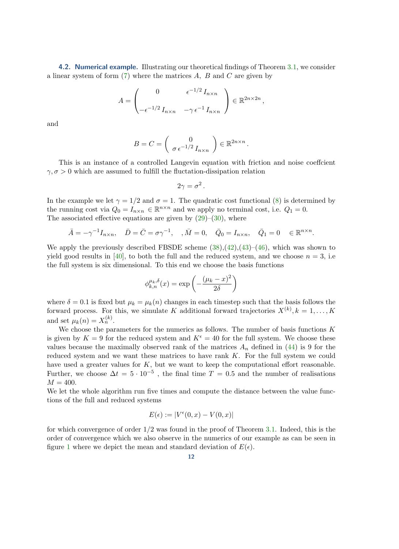4.2. Numerical example. Illustrating our theoretical findings of Theorem [3.1,](#page-7-4) we consider a linear system of form  $(7)$  where the matrices A, B and C are given by

$$
A = \begin{pmatrix} 0 & \epsilon^{-1/2} I_{n \times n} \\ -\epsilon^{-1/2} I_{n \times n} & -\gamma \epsilon^{-1} I_{n \times n} \end{pmatrix} \in \mathbb{R}^{2n \times 2n},
$$

and

$$
B = C = \left( \begin{array}{c} 0 \\ \sigma \, \epsilon^{-1/2} \, I_{n \times n} \end{array} \right) \in \mathbb{R}^{2n \times n} \, .
$$

This is an instance of a controlled Langevin equation with friction and noise coeffcient  $\gamma, \sigma > 0$  which are assumed to fulfill the fluctation-dissipation relation

$$
2\gamma = \sigma^2.
$$

In the example we let  $\gamma = 1/2$  and  $\sigma = 1$ . The quadratic cost functional [\(8\)](#page-3-2) is determined by the running cost via  $Q_0 = I_{n \times n} \in \mathbb{R}^{n \times n}$  and we apply no terminal cost, i.e.  $Q_1 = 0$ . The associated effective equations are given by  $(29)$ – $(30)$ , where

$$
\bar{A} = -\gamma^{-1} I_{n \times n}, \quad \bar{D} = \bar{C} = \sigma \gamma^{-1}, \quad , \bar{M} = 0, \quad \bar{Q}_0 = I_{n \times n}, \quad \bar{Q}_1 = 0 \quad \in \mathbb{R}^{n \times n}.
$$

We apply the previously described FBSDE scheme  $(38),(42),(43)-(46)$  $(38),(42),(43)-(46)$  $(38),(42),(43)-(46)$  $(38),(42),(43)-(46)$  $(38),(42),(43)-(46)$  $(38),(42),(43)-(46)$  $(38),(42),(43)-(46)$ , which was shown to yield good results in [\[40\]](#page-18-22), to both the full and the reduced system, and we choose  $n = 3$ , i.e. the full system is six dimensional. To this end we choose the basis functions

$$
\phi_{k,n}^{\mu_k,\delta}(x) = \exp\left(-\frac{(\mu_k - x)^2}{2\delta}\right)
$$

where  $\delta = 0.1$  is fixed but  $\mu_k = \mu_k(n)$  changes in each timestep such that the basis follows the forward process. For this, we simulate K additional forward trajectories  $X^{(k)}, k = 1, \ldots, K$ and set  $\mu_k(n) = X_n^{(k)}$ .

We choose the parameters for the numerics as follows. The number of basis functions  $K$ is given by  $K = 9$  for the reduced system and  $K^{\epsilon} = 40$  for the full system. We choose these values because the maximally observed rank of the matrices  $A_n$  defined in [\(44\)](#page-10-2) is 9 for the reduced system and we want these matrices to have rank K. For the full system we could have used a greater values for  $K$ , but we want to keep the computational effort reasonable. Further, we choose  $\Delta t = 5 \cdot 10^{-5}$ , the final time  $T = 0.5$  and the number of realisations  $M = 400.$ 

We let the whole algorithm run five times and compute the distance between the value functions of the full and reduced systems

$$
E(\epsilon) := |V^{\epsilon}(0, x) - V(0, x)|
$$

for which convergence of order  $1/2$  was found in the proof of Theorem [3.1.](#page-7-4) Indeed, this is the order of convergence which we also observe in the numerics of our example as can be seen in figure [1](#page-12-0) where we depict the mean and standard deviation of  $E(\epsilon)$ .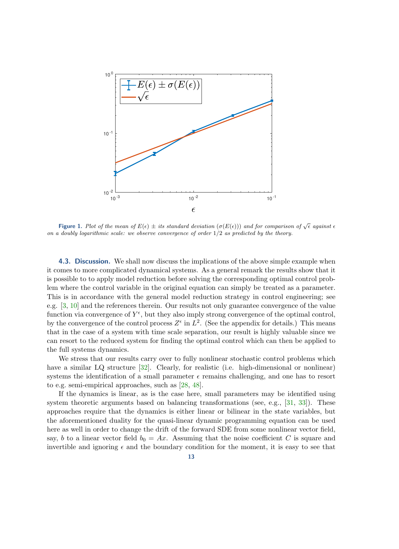<span id="page-12-0"></span>

**Figure 1.** Plot of the mean of  $E(\epsilon) \pm$  its standard deviation  $(\sigma(E(\epsilon)))$  and for comparison of  $\sqrt{\epsilon}$  against  $\epsilon$ on a doubly logarithmic scale: we observe convergence of order  $1/2$  as predicted by the theory.

**4.3. Discussion.** We shall now discuss the implications of the above simple example when it comes to more complicated dynamical systems. As a general remark the results show that it is possible to to apply model reduction before solving the corresponding optimal control problem where the control variable in the original equation can simply be treated as a parameter. This is in accordance with the general model reduction strategy in control engineering; see e.g. [\[3,](#page-16-1) [10\]](#page-16-2) and the references therein. Our results not only guarantee convergence of the value function via convergence of  $Y^{\epsilon}$ , but they also imply strong convergence of the optimal control, by the convergence of the control process  $Z^{\epsilon}$  in  $L^2$ . (See the appendix for details.) This means that in the case of a system with time scale separation, our result is highly valuable since we can resort to the reduced system for finding the optimal control which can then be applied to the full systems dynamics.

We stress that our results carry over to fully nonlinear stochastic control problems which have a similar LQ structure [\[32\]](#page-17-8). Clearly, for realistic (i.e. high-dimensional or nonlinear) systems the identification of a small parameter  $\epsilon$  remains challenging, and one has to resort to e.g. semi-empirical approaches, such as [\[28,](#page-17-23) [48\]](#page-18-23).

If the dynamics is linear, as is the case here, small parameters may be identified using system theoretic arguments based on balancing transformations (see, e.g., [\[31,](#page-17-17) [33\]](#page-17-7)). These approaches require that the dynamics is either linear or bilinear in the state variables, but the aforementioned duality for the quasi-linear dynamic programming equation can be used here as well in order to change the drift of the forward SDE from some nonlinear vector field, say, b to a linear vector field  $b_0 = Ax$ . Assuming that the noise coefficient C is square and invertible and ignoring  $\epsilon$  and the boundary condition for the moment, it is easy to see that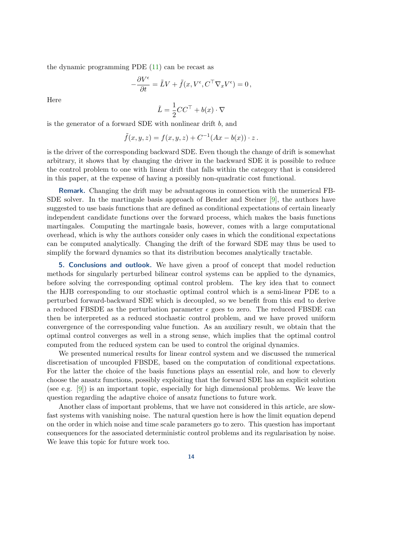the dynamic programming PDE [\(11\)](#page-4-0) can be recast as

$$
-\frac{\partial V^{\epsilon}}{\partial t} = \tilde{L}V + \tilde{f}(x, V^{\epsilon}, C^{\top} \nabla_x V^{\epsilon}) = 0,
$$

Here

$$
\tilde{L} = \frac{1}{2}CC^{\top} + b(x) \cdot \nabla
$$

is the generator of a forward SDE with nonlinear drift b, and

$$
\tilde{f}(x,y,z) = f(x,y,z) + C^{-1}(Ax - b(x)) \cdot z.
$$

is the driver of the corresponding backward SDE. Even though the change of drift is somewhat arbitrary, it shows that by changing the driver in the backward SDE it is possible to reduce the control problem to one with linear drift that falls within the category that is considered in this paper, at the expense of having a possibly non-quadratic cost functional.

Remark. Changing the drift may be advantageous in connection with the numerical FB-SDE solver. In the martingale basis approach of Bender and Steiner [\[9\]](#page-16-8), the authors have suggested to use basis functions that are defined as conditional expectations of certain linearly independent candidate functions over the forward process, which makes the basis functions martingales. Computing the martingale basis, however, comes with a large computational overhead, which is why the authors consider only cases in which the conditional expectations can be computed analytically. Changing the drift of the forward SDE may thus be used to simplify the forward dynamics so that its distribution becomes analytically tractable.

<span id="page-13-0"></span>**5. Conclusions and outlook.** We have given a proof of concept that model reduction methods for singularly perturbed bilinear control systems can be applied to the dynamics, before solving the corresponding optimal control problem. The key idea that to connect the HJB corresponding to our stochastic optimal control which is a semi-linear PDE to a perturbed forward-backward SDE which is decoupled, so we benefit from this end to derive a reduced FBSDE as the perturbation parameter  $\epsilon$  goes to zero. The reduced FBSDE can then be interpreted as a reduced stochastic control problem, and we have proved uniform convergence of the corresponding value function. As an auxiliary result, we obtain that the optimal control converges as well in a strong sense, which implies that the optimal control computed from the reduced system can be used to control the original dynamics.

We presented numerical results for linear control system and we discussed the numerical discretisation of uncoupled FBSDE, based on the computation of conditional expectations. For the latter the choice of the basis functions plays an essential role, and how to cleverly choose the ansatz functions, possibly exploiting that the forward SDE has an explicit solution (see e.g. [\[9\]](#page-16-8)) is an important topic, especially for high dimensional problems. We leave the question regarding the adaptive choice of ansatz functions to future work.

Another class of important problems, that we have not considered in this article, are slowfast systems with vanishing noise. The natural question here is how the limit equation depend on the order in which noise and time scale parameters go to zero. This question has important consequences for the associated deterministic control problems and its regularisation by noise. We leave this topic for future work too.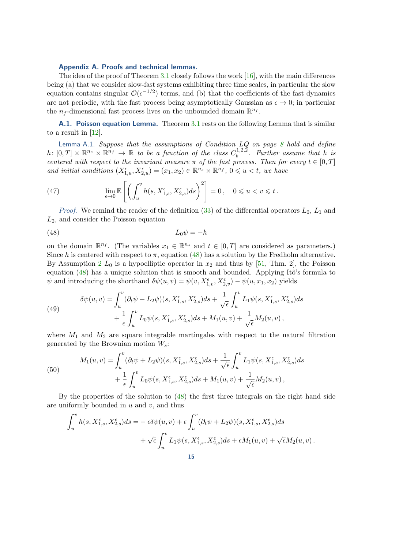## Appendix A. Proofs and technical lemmas.

The idea of the proof of Theorem  $3.1$  closely follows the work  $[16]$ , with the main differences being (a) that we consider slow-fast systems exhibiting three time scales, in particular the slow equation contains singular  $\mathcal{O}(\epsilon^{-1/2})$  terms, and (b) that the coefficients of the fast dynamics are not periodic, with the fast process being asymptotically Gaussian as  $\epsilon \to 0$ ; in particular the  $n_f$ -dimensional fast process lives on the unbounded domain  $\mathbb{R}^{n_f}$ .

A.1. Poisson equation Lemma. Theorem [3.1](#page-7-4) rests on the following Lemma that is similar to a result in  $[12]$ .

<span id="page-14-1"></span>Lemma A.1. Suppose that the assumptions of Condition  $LQ$  on page [8](#page-7-2) hold and define  $h\colon [0,T]\times\mathbb{R}^{n_s}\times\mathbb{R}^{n_f}\to\mathbb{R}$  to be a function of the class  $C_h^{1,2,2}$  $b^{(1,2,2)}$ . Further assume that h is centered with respect to the invariant measure  $\pi$  of the fast process. Then for every  $t \in [0, T]$ and initial conditions  $(X_{1,u}^{\epsilon}, X_{2,u}^{\epsilon}) = (x_1, x_2) \in \mathbb{R}^{n_s} \times \mathbb{R}^{n_f}$ ,  $0 \leq u < t$ , we have

(47) 
$$
\lim_{\epsilon \to 0} \mathbb{E}\left[\left(\int_u^v h(s, X_{1,s}^{\epsilon}, X_{2,s}^{\epsilon}) ds\right)^2\right] = 0, \quad 0 \leq u < v \leq t.
$$

*Proof.* We remind the reader of the definition  $(33)$  of the differential operators  $L_0$ ,  $L_1$  and  $L_2$ , and consider the Poisson equation

<span id="page-14-0"></span>
$$
(48)\t\t\t L_0\psi = -h
$$

on the domain  $\mathbb{R}^{n_f}$ . (The variables  $x_1 \in \mathbb{R}^{n_s}$  and  $t \in [0,T]$  are considered as parameters.) Since h is centered with respect to  $\pi$ , equation [\(48\)](#page-14-0) has a solution by the Fredholm alternative. By Assumption [2](#page-7-0)  $L_0$  is a hypoelliptic operator in  $x_2$  and thus by [\[51,](#page-18-24) Thm. 2], the Poisson equation  $(48)$  has a unique solution that is smooth and bounded. Applying Itô's formula to  $\psi$  and introducing the shorthand  $\delta\psi(u,v) = \psi(v, X_{1,v}^{\epsilon}, X_{2,v}^{\epsilon}) - \psi(u, x_1, x_2)$  yields

(49) 
$$
\delta\psi(u,v) = \int_u^v (\partial_t \psi + L_2 \psi)(s, X_{1,s}^{\epsilon}, X_{2,s}^{\epsilon}) ds + \frac{1}{\sqrt{\epsilon}} \int_u^v L_1 \psi(s, X_{1,s}^{\epsilon}, X_{2,s}^{\epsilon}) ds + \frac{1}{\epsilon} \int_u^v L_0 \psi(s, X_{1,s}^{\epsilon}, X_{2,s}^{\epsilon}) ds + M_1(u,v) + \frac{1}{\sqrt{\epsilon}} M_2(u,v),
$$

where  $M_1$  and  $M_2$  are square integrable martingales with respect to the natural filtration generated by the Brownian motion  $W_s$ :

(50) 
$$
M_1(u, v) = \int_u^v (\partial_t \psi + L_2 \psi)(s, X_{1,s}^{\epsilon}, X_{2,s}^{\epsilon}) ds + \frac{1}{\sqrt{\epsilon}} \int_u^v L_1 \psi(s, X_{1,s}^{\epsilon}, X_{2,s}^{\epsilon}) ds + \frac{1}{\epsilon} \int_u^v L_0 \psi(s, X_{1,s}^{\epsilon}, X_{2,s}^{\epsilon}) ds + M_1(u, v) + \frac{1}{\sqrt{\epsilon}} M_2(u, v),
$$

By the properties of the solution to [\(48\)](#page-14-0) the first three integrals on the right hand side are uniformly bounded in  $u$  and  $v$ , and thus

$$
\int_u^v h(s, X_{1,s}^{\epsilon}, X_{2,s}^{\epsilon}) ds = -\epsilon \delta \psi(u, v) + \epsilon \int_u^v (\partial_t \psi + L_2 \psi)(s, X_{1,s}^{\epsilon}, X_{2,s}^{\epsilon}) ds + \sqrt{\epsilon} \int_u^v L_1 \psi(s, X_{1,s}^{\epsilon}, X_{2,s}^{\epsilon}) ds + \epsilon M_1(u, v) + \sqrt{\epsilon} M_2(u, v).
$$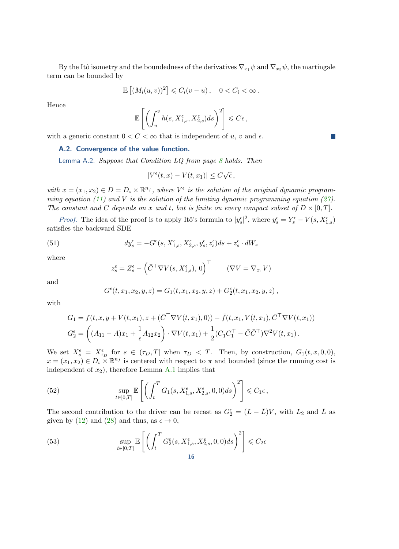By the Itô isometry and the boundedness of the derivatives  $\nabla_{x_1}\psi$  and  $\nabla_{x_2}\psi$ , the martingale term can be bounded by

$$
\mathbb{E}\left[\left(M_i(u,v)\right)^2\right] \leqslant C_i(v-u)\,,\quad 0 < C_i < \infty\,.
$$

Hence

$$
\mathbb{E}\left[\left(\int_u^v h(s,X_{1,s}^{\epsilon},X_{2,s}^{\epsilon})ds\right)^2\right] \leqslant C\epsilon\,,
$$

<span id="page-15-0"></span>with a generic constant  $0 < C < \infty$  that is independent of u, v and  $\epsilon$ .

## A.2. Convergence of the value function.

Lemma A.2. Suppose that Condition LQ from page [8](#page-7-6) holds. Then

$$
|V^{\epsilon}(t,x) - V(t,x_1)| \leq C\sqrt{\epsilon},
$$

with  $x = (x_1, x_2) \in D = D_s \times \mathbb{R}^{n_f}$ , where  $V^{\epsilon}$  is the solution of the original dynamic program-ming equation [\(11\)](#page-4-0) and V is the solution of the limiting dynamic programming equation [\(27\)](#page-6-0). The constant and C depends on x and t, but is finite on every compact subset of  $D \times [0, T]$ .

*Proof.* The idea of the proof is to apply Itô's formula to  $|y_s^{\epsilon}|^2$ , where  $y_s^{\epsilon} = Y_s^{\epsilon} - V(s, X_{1,s}^{\epsilon})$ satisfies the backward SDE

(51) 
$$
dy_s^{\epsilon} = -G^{\epsilon}(s, X_{1,s}^{\epsilon}, X_{2,s}^{\epsilon}, y_s^{\epsilon}, z_s^{\epsilon})ds + z_s^{\epsilon} \cdot dW_s
$$

where

$$
z_s^{\epsilon} = Z_s^{\epsilon} - (\bar{C}^{\top} \nabla V(s, X_{1,s}^{\epsilon}), 0)^{\top} \qquad (\nabla V = \nabla_{x_1} V)
$$

and

$$
G^{\epsilon}(t,x_{1},x_{2},y,z)=G_{1}(t,x_{1},x_{2},y,z)+G_{2}^{\epsilon}(t,x_{1},x_{2},y,z)\,,
$$

with

$$
G_1 = f(t, x, y + V(t, x_1), z + (\bar{C}^\top \nabla V(t, x_1), 0)) - \bar{f}(t, x_1, V(t, x_1), \bar{C}^\top \nabla V(t, x_1))
$$
  
\n
$$
G_2^{\epsilon} = \left( (A_{11} - \overline{A})x_1 + \frac{1}{\epsilon}A_{12}x_2 \right) \cdot \nabla V(t, x_1) + \frac{1}{2}(C_1C_1^\top - \bar{C}\bar{C}^\top)\nabla^2 V(t, x_1).
$$

We set  $X_s^{\epsilon} = X_{\tau_D}^{\epsilon}$  for  $s \in (\tau_D, T]$  when  $\tau_D < T$ . Then, by construction,  $G_1(t, x, 0, 0)$ ,  $x = (x_1, x_2) \in D_s \times \mathbb{R}^{n_f}$  is centered with respect to  $\pi$  and bounded (since the running cost is independent of  $x_2$ ), therefore Lemma [A.1](#page-14-1) implies that

<span id="page-15-1"></span>(52) 
$$
\sup_{t\in[0,T]}\mathbb{E}\left[\left(\int_t^T G_1(s,X_{1,s}^{\epsilon},X_{2,s}^{\epsilon},0,0)ds\right)^2\right] \leqslant C_1\epsilon,
$$

The second contribution to the driver can be recast as  $G_2^{\epsilon} = (L - \bar{L})V$ , with  $L_2$  and  $\bar{L}$  as given by [\(12\)](#page-4-3) and [\(28\)](#page-6-2) and thus, as  $\epsilon \to 0$ ,

<span id="page-15-2"></span>(53) 
$$
\sup_{t \in [0,T]} \mathbb{E}\left[\left(\int_t^T G_2^{\epsilon}(s, X_{1,s}^{\epsilon}, X_{2,s}^{\epsilon}, 0, 0) ds\right)^2\right] \leq C_2 \epsilon
$$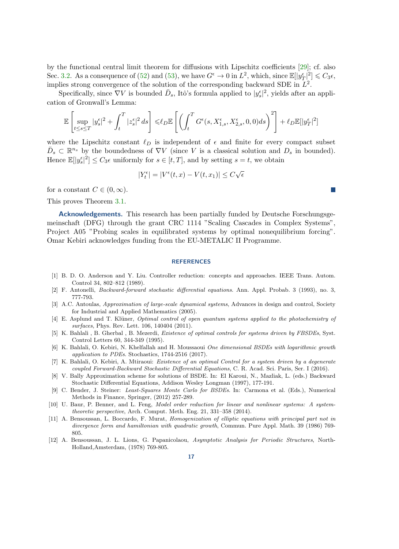by the functional central limit theorem for diffusions with Lipschitz coefficients [\[29\]](#page-17-21); cf. also Sec. [3.2.](#page-7-7) As a consequence of [\(52\)](#page-15-1) and [\(53\)](#page-15-2), we have  $G^{\epsilon} \to 0$  in  $L^2$ , which, since  $\mathbb{E}[|y_T^{\epsilon}|^2] \leq C_3 \epsilon$ , implies strong convergence of the solution of the corresponding backward SDE in  $L^2$ .

Specifically, since  $\nabla V$  is bounded  $\bar{D}_s$ , Itô's formula applied to  $|y_s^{\epsilon}|^2$ , yields after an application of Gronwall's Lemma:

$$
\mathbb{E}\left[\sup_{t\leq s\leq T}|y_s^{\epsilon}|^2+\int_t^T|z_s^{\epsilon}|^2ds\right]\leq \ell_D\mathbb{E}\left[\left(\int_t^T G^{\epsilon}(s,X_{1,s}^{\epsilon},X_{2,s}^{\epsilon},0,0)ds\right)^2\right]+\ell_D\mathbb{E}[|y_T^{\epsilon}|^2]
$$

where the Lipschitz constant  $\ell_D$  is independent of  $\epsilon$  and finite for every compact subset  $\bar{D}_s \subset \mathbb{R}^{n_s}$  by the boundedness of  $\nabla V$  (since V is a classical solution and  $D_s$  in bounded). Hence  $\mathbb{E}[|y_s^{\epsilon}|^2] \leq C_3 \epsilon$  uniformly for  $s \in [t, T]$ , and by setting  $s = t$ , we obtain

$$
|Y_t^{\epsilon}| = |V^{\epsilon}(t, x) - V(t, x_1)| \le C\sqrt{\epsilon}
$$

for a constant  $C \in (0, \infty)$ .

This proves Theorem [3.1.](#page-7-4)

Acknowledgements. This research has been partially funded by Deutsche Forschungsgemeinschaft (DFG) through the grant CRC 1114 "Scaling Cascades in Complex Systems", Project A05 "Probing scales in equilibrated systems by optimal nonequilibrium forcing". Omar Kebiri acknowledges funding from the EU-METALIC II Programme.

## **REFERENCES**

- <span id="page-16-9"></span>[1] B. D. O. Anderson and Y. Liu. Controller reduction: concepts and approaches. IEEE Trans. Autom. Control 34, 802–812 (1989).
- <span id="page-16-4"></span>[2] F. Antonelli, Backward-forward stochastic differential equations. Ann. Appl. Probab. 3 (1993), no. 3, 777-793.
- <span id="page-16-1"></span>[3] A.C. Antoulas, Approximation of large-scale dynamical systems, Advances in design and control, Society for Industrial and Applied Mathematics (2005).
- <span id="page-16-0"></span>[4] E. Asplund and T. Klüner, *Optimal control of open quantum systems applied to the photochemistry of* surfaces, Phys. Rev. Lett. 106, 140404 (2011).
- <span id="page-16-5"></span>[5] K. Bahlali , B. Gherbal , B. Mezerdi, Existence of optimal controls for systems driven by FBSDEs, Syst. Control Letters 60, 344-349 (1995).
- <span id="page-16-3"></span>[6] K. Bahlali, O. Kebiri, N. Khelfallah and H. Moussaoui One dimensional BSDEs with logarithmic growth application to PDEs. Stochastics, 1744-2516 (2017).
- <span id="page-16-6"></span>[7] K. Bahlali, O. Kebiri, A. Mtiraoui: Existence of an optimal Control for a system driven by a degenerate coupled Forward-Backward Stochastic Differential Equations, C. R. Acad. Sci. Paris, Ser. I (2016).
- <span id="page-16-7"></span>[8] V. Bally Approximation scheme for solutions of BSDE. In: El Karoui, N., Mazliak, L. (eds.) Backward Stochastic Differential Equations, Addison Wesley Longman (1997), 177-191.
- <span id="page-16-8"></span>[9] C. Bender, J. Steiner: Least-Squares Monte Carlo for BSDEs. In: Carmona et al. (Eds.), Numerical Methods in Finance, Springer, (2012) 257-289.
- <span id="page-16-2"></span>[10] U. Baur, P. Benner, and L. Feng, Model order reduction for linear and nonlinear systems: A systemtheoretic perspective, Arch. Comput. Meth. Eng. 21, 331–358 (2014).
- <span id="page-16-10"></span>[11] A. Bensoussan, L. Boccardo, F. Murat, Homogenization of elliptic equations with principal part not in divergence form and hamiltonian with quadratic growth, Commun. Pure Appl. Math. 39 (1986) 769-805.
- <span id="page-16-11"></span>[12] A. Bensoussan, J. L. Lions, G. Papanicolaou, Asymptotic Analysis for Periodic Structures, North-Holland,Amsterdam, (1978) 769-805.

 $\mathcal{C}^{\mathcal{A}}$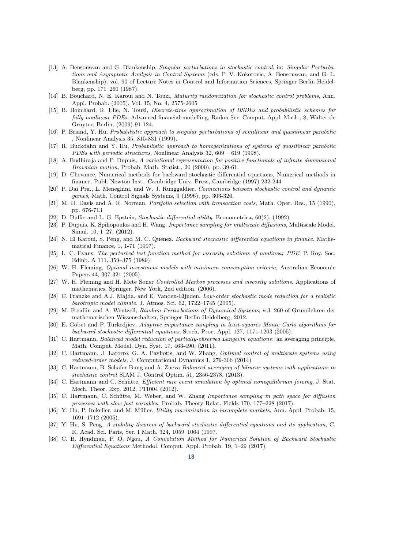- <span id="page-17-4"></span>[13] A. Bensoussan and G. Blankenship, Singular perturbations in stochastic control, in: Singular Perturbations and Asymptotic Analysis in Control Systems (eds. P. V. Kokotovic, A. Bensoussan, and G. L. Blankenship), vol. 90 of Lecture Notes in Control and Information Sciences, Springer Berlin Heidelberg, pp. 171–260 (1987).
- [14] B. Bouchard, N. E. Karoui and N. Touzi, Maturity randomization for stochastic control problems, Ann. Appl. Probab. (2005), Vol. 15, No. 4, 2575-2605
- <span id="page-17-15"></span>[15] B. Bouchard, R. Elie, N. Touzi, Discrete-time approximation of BSDEs and probabilistic schemes for fully nonlinear PDEs, Advanced financial modelling, Radon Ser. Comput. Appl. Math., 8, Walter de Gruyter, Berlin, (2009) 91-124.
- <span id="page-17-24"></span>[16] P. Briand, Y. Hu, Probabilistic approach to singular perturbations of semilinear and quasilinear parabolic , Nonlinear Analysis 35, 815-831 (1999).
- <span id="page-17-6"></span>[17] R. Buckdahn and Y. Hu, Probabilistic approach to homogenizations of systems of quasilinear parabolic PDEs with periodic structures, Nonlinear Analysis 32, 609 – 619 (1998).
- <span id="page-17-19"></span>[18] A. Budhiraja and P. Dupuis, A variational representation for positive functionals of infinite dimensional Brownian motion, Probab. Math. Statist., 20 (2000), pp. 39-61.
- <span id="page-17-14"></span>[19] D. Chevance, Numerical methods for backward stochastic differential equations, Numerical methods in finance, Publ. Newton Inst., Cambridge Univ. Press, Cambridge (1997) 232-244.
- <span id="page-17-20"></span>[20] P. Dai Pra., L. Meneghini, and W. J. Runggaldier, Connections between stochastic control and dynamic games, Math. Control Signals Systems, 9 (1996), pp. 303-326.
- <span id="page-17-2"></span>[21] M. H. Davis and A. R. Norman, Portfolio selection with transaction costs, Math. Oper. Res., 15 (1990), pp. 676-713
- <span id="page-17-9"></span>[22] D. Duffie and L. G. Epstein, Stochastic differential utility. Econometrica, 60(2), (1992)
- <span id="page-17-1"></span>[23] P. Dupuis, K. Spiliopoulos and H. Wang, Importance sampling for multiscale diffusions, Multiscale Model. Simul. 10, 1–27, (2012).
- <span id="page-17-10"></span>[24] N. El Karoui, S. Peng, and M. C. Quenez. Backward stochastic differential equations in finance. Mathematical Finance, 1, 1-71 (1997).
- <span id="page-17-5"></span>[25] L. C. Evans, The perturbed test function method for viscosity solutions of nonlinear PDE, P. Roy. Soc. Edinb. A 111, 359–375 (1989).
- <span id="page-17-18"></span>[26] W. H. Fleming, Optimal investment models with minimum consumption criteria, Australian Economic Papers 44, 307-321 (2005).
- <span id="page-17-0"></span>[27] W. H. Fleming and H. Mete Soner Controlled Markov processes and viscosity solutions. Applications of mathematics. Springer, New York, 2nd edition, (2006).
- <span id="page-17-23"></span>[28] C. Franzke and A.J. Majda, and E. Vanden-Eijnden, Low-order stochastic mode reduction for a realistic barotropic model climate. J. Atmos. Sci. 62, 1722–1745 (2005).
- <span id="page-17-21"></span>[29] M. Freidlin and A. Wentzell, Random Perturbations of Dynamical Systems, vol. 260 of Grundlehren der mathematischen Wissenschaften, Springer Berlin Heidelberg, 2012.
- <span id="page-17-22"></span>[30] E. Gobet and P. Turkedjiev, Adaptive importance sampling in least-squares Monte Carlo algorithms for backward stochastic differential equations, Stoch. Proc. Appl. 127, 1171-1203 (2005).
- <span id="page-17-17"></span>[31] C. Hartmann, *Balanced model reduction of partially-observed Langevin equations:* an averaging principle, Math. Comput. Model. Dyn. Syst. 17, 463-490, (2011).
- <span id="page-17-8"></span>[32] C. Hartmann, J. Latorre, G. A. Pavliotis, and W. Zhang, *Optimal control of multiscale systems using* reduced-order models, J. Computational Dynamics 1, 279-306 (2014)
- <span id="page-17-7"></span>[33] C. Hartmann, B. Schäfer-Bung and A. Zueva Balanced averaging of bilinear systems with applications to stochastic control SIAM J. Control Optim. 51, 2356-2378, (2013).
- <span id="page-17-3"></span>[34] C. Hartmann and C. Schütte, *Efficient rare event simulation by optimal nonequilibrium forcing*, J. Stat. Mech. Theor. Exp. 2012, P11004 (2012).
- <span id="page-17-13"></span>[35] C. Hartmann, C. Schütte, M. Weber, and W. Zhang Importance sampling in path space for diffusion processes with slow-fast variables, Probab. Theory Relat. Fields 170, 177–228 (2017).
- <span id="page-17-11"></span>[36] Y. Hu, P. Imkeller, and M. Müller. *Utility maximization in incomplete markets*, Ann. Appl. Probab. 15, 1691–1712 (2005).
- <span id="page-17-12"></span>[37] Y. Hu, S. Peng, A stability theorem of backward stochastic differential equations and its application, C. R. Acad. Sci. Paris, Ser. I Math. 324, 1059–1064 (1997.
- <span id="page-17-16"></span>[38] C. B. Hyndman, P. O. Ngou, A Convolution Method for Numerical Solution of Backward Stochastic Differential Equations Methodol. Comput. Appl. Probab. 19, 1–29 (2017).